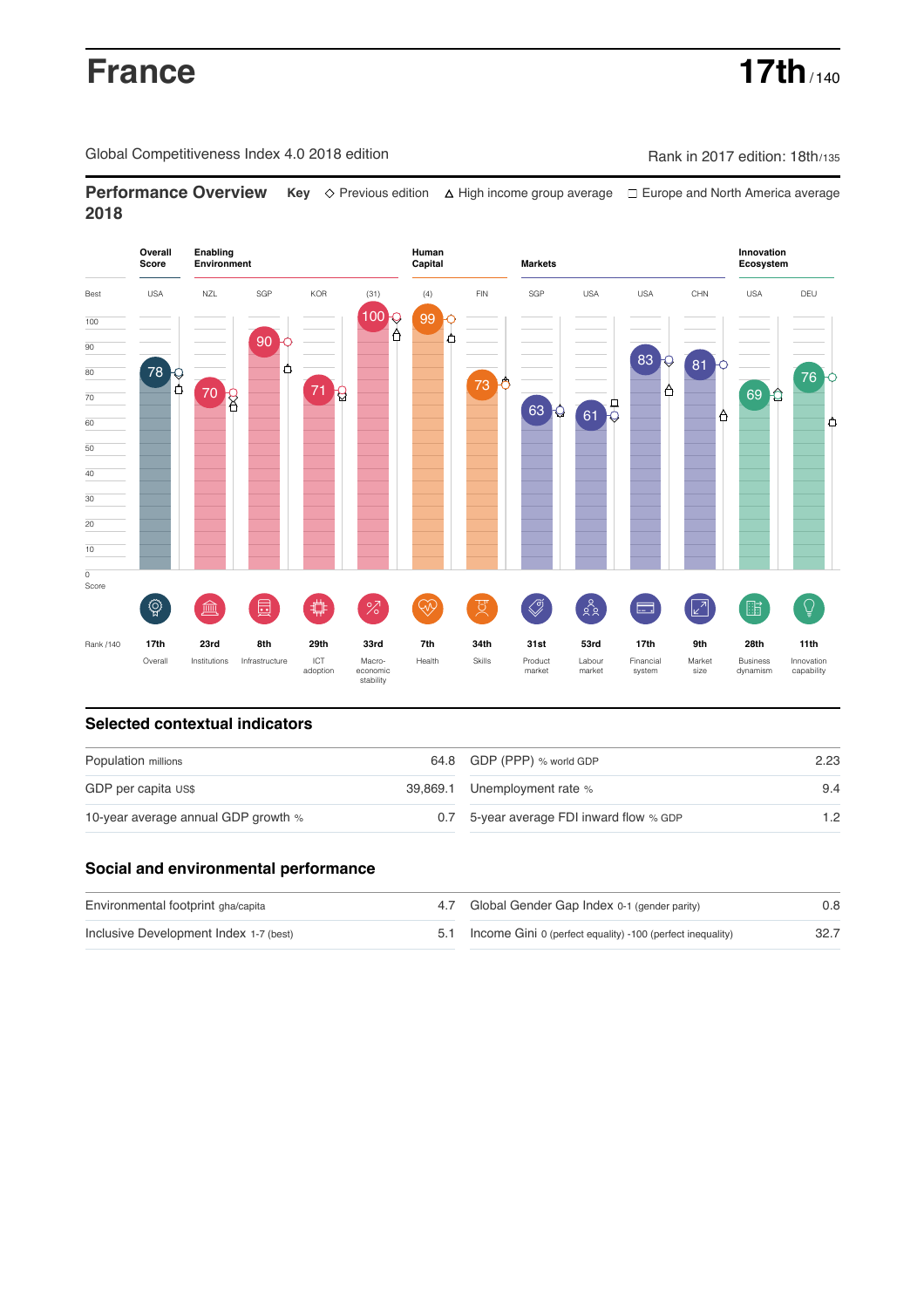# **France 17th**  $\frac{1}{140}$

Global Competitiveness Index 4.0 2018 edition Company Rank in 2017 edition: 18th/135

**Performance Overview** Key  $\Diamond$  Previous edition ∆ High income group average  $\Box$  Europe and North America average **2018**



## **Selected contextual indicators**

| Population millions                 | 64.8 GDP (PPP) % world GDP               | 2.23<br>9.4 |  |
|-------------------------------------|------------------------------------------|-------------|--|
| GDP per capita US\$                 | 39,869.1 Unemployment rate %             |             |  |
| 10-year average annual GDP growth % | 0.7 5-year average FDI inward flow % GDP | 1.2         |  |

### **Social and environmental performance**

| Environmental footprint gha/capita     | 4.7 Global Gender Gap Index 0-1 (gender parity)                | 0.8  |
|----------------------------------------|----------------------------------------------------------------|------|
| Inclusive Development Index 1-7 (best) | 5.1 Income Gini 0 (perfect equality) -100 (perfect inequality) | 32.7 |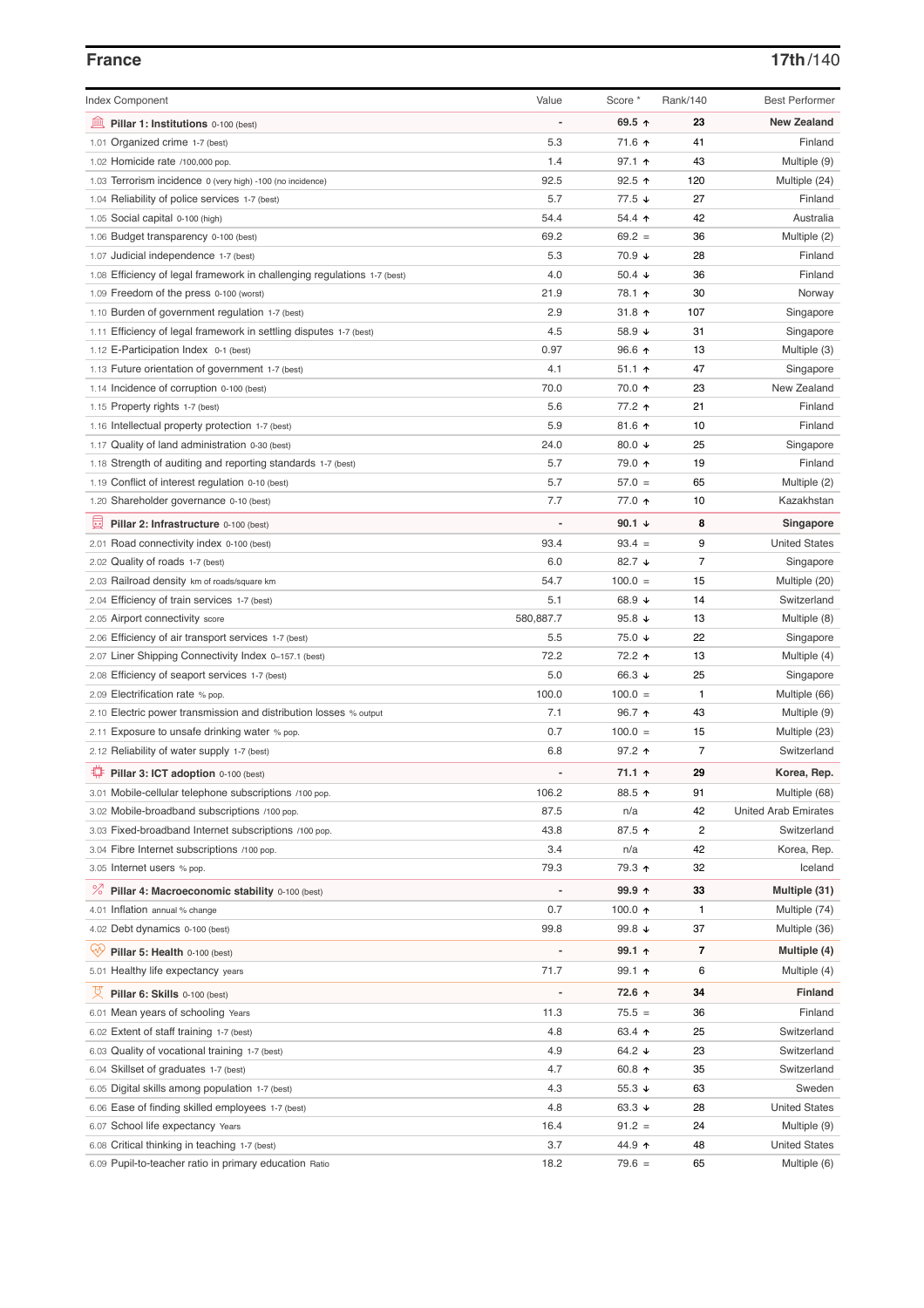# **France 17th**/140

| <b>Index Component</b>                                                   | Value          | Score *                  | Rank/140       | <b>Best Performer</b>       |
|--------------------------------------------------------------------------|----------------|--------------------------|----------------|-----------------------------|
| 皿<br>Pillar 1: Institutions 0-100 (best)                                 |                | 69.5 $\uparrow$          | 23             | <b>New Zealand</b>          |
| 1.01 Organized crime 1-7 (best)                                          | 5.3            | 71.6 ↑                   | 41             | Finland                     |
| 1.02 Homicide rate /100,000 pop.                                         | 1.4            | $97.1$ 1                 | 43             | Multiple (9)                |
| 1.03 Terrorism incidence 0 (very high) -100 (no incidence)               | 92.5           | $92.5$ ↑                 | 120            | Multiple (24)               |
| 1.04 Reliability of police services 1-7 (best)                           | 5.7            | $77.5 \; \downarrow$     | 27             | Finland                     |
| 1.05 Social capital 0-100 (high)                                         | 54.4           | 54.4 $\uparrow$          | 42             | Australia                   |
| 1.06 Budget transparency 0-100 (best)                                    | 69.2           | $69.2 =$                 | 36             | Multiple (2)                |
| 1.07 Judicial independence 1-7 (best)                                    | 5.3            | 70.9 ↓                   | 28             | Finland                     |
| 1.08 Efficiency of legal framework in challenging regulations 1-7 (best) | 4.0            | 50.4 $\sqrt{ }$          | 36             | Finland                     |
| 1.09 Freedom of the press 0-100 (worst)                                  | 21.9           | 78.1 ↑                   | 30             | Norway                      |
| 1.10 Burden of government regulation 1-7 (best)                          | 2.9            | 31.8 $\uparrow$          | 107            | Singapore                   |
| 1.11 Efficiency of legal framework in settling disputes 1-7 (best)       | 4.5            | 58.9 $\sqrt{ }$          | 31             | Singapore                   |
| 1.12 E-Participation Index 0-1 (best)                                    | 0.97           | $96.6$ ↑                 | 13             | Multiple (3)                |
| 1.13 Future orientation of government 1-7 (best)                         | 4.1            | $51.1$ 1                 | 47             | Singapore                   |
| 1.14 Incidence of corruption 0-100 (best)                                | 70.0           | 70.0 ↑                   | 23             | New Zealand                 |
| 1.15 Property rights 1-7 (best)                                          | 5.6            | 77.2 ↑                   | 21             | Finland                     |
| 1.16 Intellectual property protection 1-7 (best)                         | 5.9            | 81.6 $\uparrow$          | 10             | Finland                     |
| 1.17 Quality of land administration 0-30 (best)                          | 24.0           | 80.0 $\sqrt{ }$          | 25             | Singapore                   |
| 1.18 Strength of auditing and reporting standards 1-7 (best)             | 5.7            | 79.0 ↑                   | 19             | Finland                     |
| 1.19 Conflict of interest regulation 0-10 (best)                         | 5.7            | $57.0 =$                 | 65             | Multiple (2)                |
| 1.20 Shareholder governance 0-10 (best)                                  | 7.7            | 77.0 ↑                   | 10             | Kazakhstan                  |
|                                                                          |                | 90.1 $\sqrt{ }$          | 8              |                             |
| 圓<br>Pillar 2: Infrastructure 0-100 (best)                               |                |                          |                | Singapore                   |
| 2.01 Road connectivity index 0-100 (best)                                | 93.4           | $93.4 =$                 | 9              | <b>United States</b>        |
| 2.02 Quality of roads 1-7 (best)                                         | 6.0            | 82.7 $\sqrt{ }$          | $\overline{7}$ | Singapore                   |
| 2.03 Railroad density km of roads/square km                              | 54.7           | $100.0 =$                | 15             | Multiple (20)               |
| 2.04 Efficiency of train services 1-7 (best)                             | 5.1            | 68.9 $\sqrt{ }$          | 14             | Switzerland                 |
| 2.05 Airport connectivity score                                          | 580,887.7      | 95.8 $\sqrt{ }$          | 13             | Multiple (8)                |
| 2.06 Efficiency of air transport services 1-7 (best)                     | 5.5            | 75.0 ↓                   | 22             | Singapore                   |
| 2.07 Liner Shipping Connectivity Index 0-157.1 (best)                    | 72.2           | 72.2 ↑                   | 13             | Multiple (4)                |
| 2.08 Efficiency of seaport services 1-7 (best)                           | 5.0            | 66.3 ↓                   | 25             | Singapore                   |
| 2.09 Electrification rate % pop.                                         | 100.0          | $100.0 =$                | $\mathbf{1}$   | Multiple (66)               |
| 2.10 Electric power transmission and distribution losses % output        | 7.1            | 96.7 $\uparrow$          | 43             | Multiple (9)                |
| 2.11 Exposure to unsafe drinking water % pop.                            | 0.7            | $100.0 =$                | 15             | Multiple (23)               |
| 2.12 Reliability of water supply 1-7 (best)                              | 6.8            | $97.2$ ↑                 | $\overline{7}$ | Switzerland                 |
| ₽<br>Pillar 3: ICT adoption 0-100 (best)                                 |                | $71.1 \text{ } \Upsilon$ | 29             | Korea, Rep.                 |
| 3.01 Mobile-cellular telephone subscriptions /100 pop.                   | 106.2          | 88.5 个                   | 91             | Multiple (68)               |
| 3.02 Mobile-broadband subscriptions /100 pop.                            | 87.5           | n/a                      | 42             | <b>United Arab Emirates</b> |
| 3.03 Fixed-broadband Internet subscriptions /100 pop.                    | 43.8           | 87.5 ↑                   | $\overline{2}$ | Switzerland                 |
| 3.04 Fibre Internet subscriptions /100 pop.                              | 3.4            | n/a                      | 42             | Korea, Rep.                 |
| 3.05 Internet users % pop.                                               | 79.3           | 79.3 ↑                   | 32             | Iceland                     |
| <sup>%</sup> Pillar 4: Macroeconomic stability 0-100 (best)              | $\overline{a}$ | 99.9 个                   | 33             | Multiple (31)               |
| 4.01 Inflation annual % change                                           | 0.7            | 100.0 $\uparrow$         | 1              | Multiple (74)               |
| 4.02 Debt dynamics 0-100 (best)                                          | 99.8           | 99.8 $\sqrt{ }$          | 37             | Multiple (36)               |
| ųÿ<br>Pillar 5: Health 0-100 (best)                                      |                | 99.1 $\uparrow$          | 7              | Multiple (4)                |
| 5.01 Healthy life expectancy years                                       | 71.7           | $99.1$ 1                 | 6              | Multiple (4)                |
|                                                                          |                |                          |                |                             |
| 성<br>Pillar 6: Skills 0-100 (best)                                       |                | 72.6 ↑                   | 34             | <b>Finland</b>              |
| 6.01 Mean years of schooling Years                                       | 11.3           | $75.5 =$                 | 36             | Finland                     |
| 6.02 Extent of staff training 1-7 (best)                                 | 4.8            | 63.4 $\uparrow$          | 25             | Switzerland                 |
| 6.03 Quality of vocational training 1-7 (best)                           | 4.9            | 64.2 $\sqrt{ }$          | 23             | Switzerland                 |
| 6.04 Skillset of graduates 1-7 (best)                                    | 4.7            | 60.8 ↑                   | 35             | Switzerland                 |
| 6.05 Digital skills among population 1-7 (best)                          | 4.3            | 55.3 $\sqrt{ }$          | 63             | Sweden                      |
| 6.06 Ease of finding skilled employees 1-7 (best)                        | 4.8            | 63.3 $\sqrt{ }$          | 28             | <b>United States</b>        |
| 6.07 School life expectancy Years                                        | 16.4           | $91.2 =$                 | 24             | Multiple (9)                |
| 6.08 Critical thinking in teaching 1-7 (best)                            | 3.7            | 44.9 ↑                   | 48             | <b>United States</b>        |
| 6.09 Pupil-to-teacher ratio in primary education Ratio                   | 18.2           | $79.6 =$                 | 65             | Multiple (6)                |